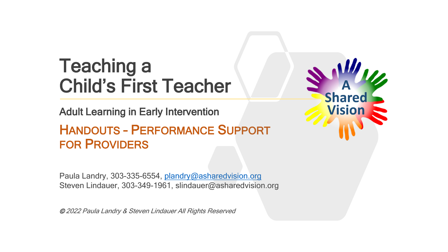# Teaching a Child's First Teacher

Adult Learning in Early Intervention

### HANDOUTS – PERFORMANCE SUPPORT FOR PROVIDERS

Paula Landry, 303-335-6554, [plandry@asharedvision.org](mailto:plandry@asharedvision.org) Steven Lindauer, 303-349-1961, slindauer@asharedvision.org

© 2022 Paula Landry & Steven Lindauer All Rights Reserved

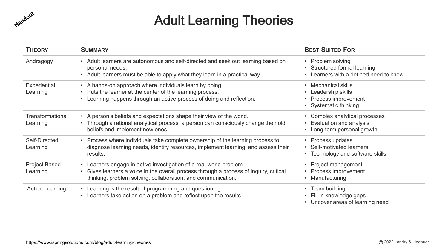

### Adult Learning Theories

| <b>THEORY</b>                    | <b>SUMMARY</b>                                                                                                                                                                                                                        | <b>BEST SUITED FOR</b>                                                                      |
|----------------------------------|---------------------------------------------------------------------------------------------------------------------------------------------------------------------------------------------------------------------------------------|---------------------------------------------------------------------------------------------|
| Andragogy                        | • Adult learners are autonomous and self-directed and seek out learning based on<br>personal needs.<br>• Adult learners must be able to apply what they learn in a practical way.                                                     | • Problem solving<br>• Structured formal learning<br>• Learners with a defined need to know |
| Experiential<br>Learning         | • A hands-on approach where individuals learn by doing.<br>• Puts the learner at the center of the learning process.<br>• Learning happens through an active process of doing and reflection.                                         | Mechanical skills<br>Leadership skills<br>Process improvement<br>• Systematic thinking      |
| Transformational<br>Learning     | • A person's beliefs and expectations shape their view of the world.<br>Through a rational analytical process, a person can consciously change their old<br>beliefs and implement new ones.                                           | • Complex analytical processes<br>Evaluation and analysis<br>• Long-term personal growth    |
| Self-Directed<br>Learning        | • Process where individuals take complete ownership of the learning process to<br>diagnose learning needs, identify resources, implement learning, and assess their<br>results.                                                       | • Process updates<br>• Self-motivated learners<br>• Technology and software skills          |
| <b>Project Based</b><br>Learning | Learners engage in active investigation of a real-world problem.<br>$\bullet$<br>Gives learners a voice in the overall process through a process of inquiry, critical<br>thinking, problem solving, collaboration, and communication. | Project management<br>• Process improvement<br>Manufacturing                                |
| <b>Action Learning</b>           | • Learning is the result of programming and questioning.<br>Learners take action on a problem and reflect upon the results.<br>$\bullet$                                                                                              | • Team building<br>Fill in knowledge gaps<br>• Uncover areas of learning need               |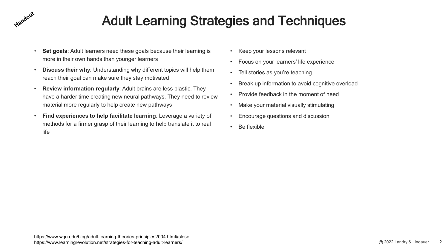### Adult Learning Strategies and Techniques

• **Set goals**: Adult learners need these goals because their learning is more in their own hands than younger learners

Handout

- **Discuss their why**: Understanding why different topics will help them reach their goal can make sure they stay motivated
- **Review information regularly**: Adult brains are less plastic. They have a harder time creating new neural pathways. They need to review material more regularly to help create new pathways
- **Find experiences to help facilitate learning**: Leverage a variety of methods for a firmer grasp of their learning to help translate it to real life
- Keep your lessons relevant
- Focus on your learners' life experience
- Tell stories as you're teaching
- Break up information to avoid cognitive overload
- Provide feedback in the moment of need
- Make your material visually stimulating
- Encourage questions and discussion
- Be flexible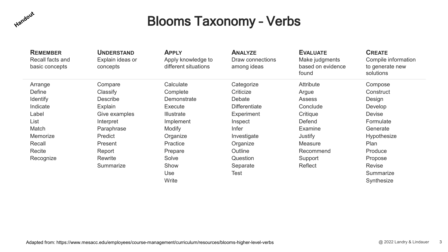

### Blooms Taxonomy – Verbs

| <b>REMEMBER</b><br>Recall facts and<br>basic concepts | <b>UNDERSTAND</b><br>Explain ideas or<br>concepts | <b>APPLY</b><br>Apply knowledge to<br>different situations | <b>ANALYZE</b><br>Draw connections<br>among ideas | <b>EVALUATE</b><br>Make judgments<br>based on evidence<br>found | <b>CREATE</b><br>Compile information<br>to generate new<br>solutions |
|-------------------------------------------------------|---------------------------------------------------|------------------------------------------------------------|---------------------------------------------------|-----------------------------------------------------------------|----------------------------------------------------------------------|
| Arrange                                               | Compare                                           | Calculate                                                  | Categorize                                        | <b>Attribute</b>                                                | Compose                                                              |
| Define                                                | Classify                                          | Complete                                                   | Criticize                                         | Argue                                                           | Construct                                                            |
| <b>Identify</b>                                       | <b>Describe</b>                                   | Demonstrate                                                | Debate                                            | <b>Assess</b>                                                   | Design                                                               |
| Indicate                                              | Explain                                           | Execute                                                    | <b>Differentiate</b>                              | Conclude                                                        | Develop                                                              |
| Label                                                 | Give examples                                     | <b>Illustrate</b>                                          | <b>Experiment</b>                                 | Critique                                                        | <b>Devise</b>                                                        |
| List                                                  | Interpret                                         | Implement                                                  | Inspect                                           | Defend                                                          | Formulate                                                            |
| Match                                                 | Paraphrase                                        | <b>Modify</b>                                              | <b>Infer</b>                                      | Examine                                                         | Generate                                                             |
| Memorize                                              | Predict                                           | Organize                                                   | Investigate                                       | Justify                                                         | Hypothesize                                                          |
| Recall                                                | Present                                           | Practice                                                   | Organize                                          | Measure                                                         | Plan                                                                 |
| Recite                                                | Report                                            | Prepare                                                    | Outline                                           | Recommend                                                       | Produce                                                              |
| Recognize                                             | Rewrite                                           | Solve                                                      | Question                                          | Support                                                         | Propose                                                              |
|                                                       | Summarize                                         | Show                                                       | Separate                                          | Reflect                                                         | <b>Revise</b>                                                        |
|                                                       |                                                   | Use                                                        | Test                                              |                                                                 | Summarize                                                            |
|                                                       |                                                   | Write                                                      |                                                   |                                                                 | Synthesize                                                           |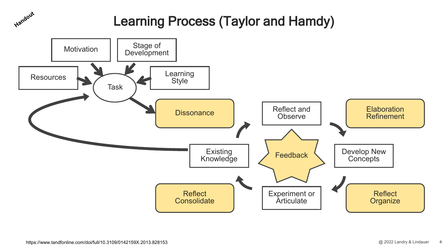### Learning Process (Taylor and Hamdy)

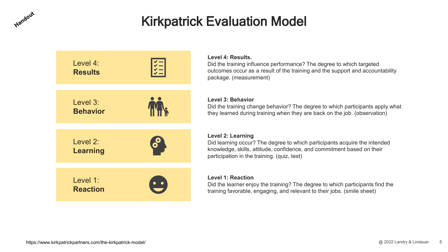### Kirkpatrick Evaluation Model



Handout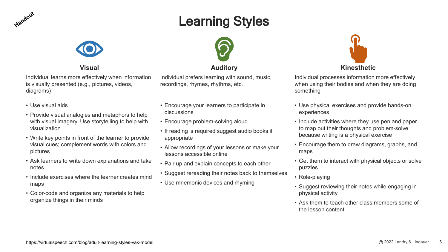

### Learning Styles



Individual learns more effectively when information is visually presented (e.g., pictures, videos, diagrams)

- Use visual aids
- Provide visual analogies and metaphors to help with visual imagery. Use storytelling to help with visualization
- Write key points in front of the learner to provide visual cues; complement words with colors and pictures
- Ask learners to write down explanations and take notes
- Include exercises where the learner creates mind maps
- Color-code and organize any materials to help organize things in their minds



### **Visual Auditory Kinesthetic**

Individual prefers learning with sound, music, recordings, rhymes, rhythms, etc.

- Encourage your learners to participate in discussions
- Encourage problem-solving aloud
- If reading is required suggest audio books if appropriate
- Allow recordings of your lessons or make your lessons accessible online
- Pair up and explain concepts to each other
- Suggest rereading their notes back to themselves
- Use mnemonic devices and rhyming



Individual processes information more effectively when using their bodies and when they are doing something

- Use physical exercises and provide hands-on experiences
- Include activities where they use pen and paper to map out their thoughts and problem-solve because writing is a physical exercise
- Encourage them to draw diagrams, graphs, and maps
- Get them to interact with physical objects or solve puzzles
- Role-playing
- Suggest reviewing their notes while engaging in physical activity
- Ask them to teach other class members some of the lesson content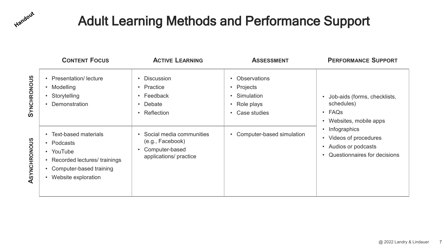

### Adult Learning Methods and Performance Support

|                    | <b>CONTENT FOCUS</b>                                                                                                                   | <b>ACTIVE LEARNING</b>                                                                                     | <b>ASSESSMENT</b>                                                                 | <b>PERFORMANCE SUPPORT</b>                                                                              |
|--------------------|----------------------------------------------------------------------------------------------------------------------------------------|------------------------------------------------------------------------------------------------------------|-----------------------------------------------------------------------------------|---------------------------------------------------------------------------------------------------------|
| <b>SYNCHRONOUS</b> | <b>Presentation/lecture</b><br>Modelling<br>Storytelling<br><b>Demonstration</b>                                                       | <b>Discussion</b><br>Practice<br>$\bullet$<br>• Feedback<br>Debate<br>$\bullet$<br>Reflection<br>$\bullet$ | <b>Observations</b><br>• Projects<br>• Simulation<br>• Role plays<br>Case studies | Job-aids (forms, checklists,<br>schedules)<br>$\cdot$ FAQs<br>Websites, mobile apps                     |
| ASYNCHRONOUS       | <b>Text-based materials</b><br>Podcasts<br>• YouTube<br>Recorded lectures/ trainings<br>Computer-based training<br>Website exploration | Social media communities<br>(e.g., Facebook)<br>Computer-based<br>applications/ practice                   | Computer-based simulation                                                         | Infographics<br>Videos of procedures<br>Audios or podcasts<br>$\bullet$<br>Questionnaires for decisions |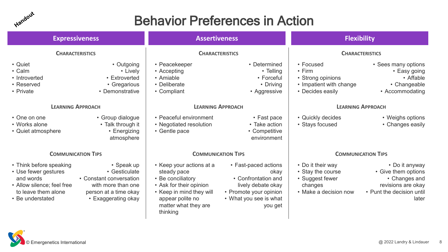

### Behavior Preferences in Action

| <b>Expressiveness</b>                                                                                                                 |                                                                                                                              | <b>Assertiveness</b>                                                                                                                                                        |                                                                                                                                          | <b>Flexibility</b>                                                                            |                                                                                                                    |
|---------------------------------------------------------------------------------------------------------------------------------------|------------------------------------------------------------------------------------------------------------------------------|-----------------------------------------------------------------------------------------------------------------------------------------------------------------------------|------------------------------------------------------------------------------------------------------------------------------------------|-----------------------------------------------------------------------------------------------|--------------------------------------------------------------------------------------------------------------------|
| <b>CHARACTERISTICS</b>                                                                                                                |                                                                                                                              | <b>CHARACTERISTICS</b>                                                                                                                                                      |                                                                                                                                          |                                                                                               | <b>CHARACTERISTICS</b>                                                                                             |
| • Quiet<br>• Calm<br>• Introverted<br>• Reserved<br>• Private                                                                         | • Outgoing<br>• Lively<br>• Extroverted<br>• Gregarious<br>• Demonstrative                                                   | • Peacekeeper<br>• Accepting<br>• Amiable<br>• Deliberate<br>• Compliant                                                                                                    | • Determined<br>• Telling<br>• Forceful<br>• Driving<br>• Aggressive                                                                     | • Focused<br>$\cdot$ Firm<br>• Strong opinions<br>• Impatient with change<br>• Decides easily | • Sees many options<br>• Easy going<br>• Affable<br>• Changeable<br>• Accommodating                                |
|                                                                                                                                       | <b>LEARNING APPROACH</b>                                                                                                     | <b>LEARNING APPROACH</b>                                                                                                                                                    |                                                                                                                                          |                                                                                               | <b>LEARNING APPROACH</b>                                                                                           |
| • One on one<br>• Works alone<br>• Quiet atmosphere                                                                                   | • Group dialogue<br>• Talk through it<br>• Energizing<br>atmosphere                                                          | • Peaceful environment<br>• Negotiated resolution<br>• Gentle pace                                                                                                          | • Fast pace<br>• Take action<br>• Competitive<br>environment                                                                             | • Quickly decides<br>• Stays focused                                                          | • Weighs options<br>• Changes easily                                                                               |
| <b>COMMUNICATION TIPS</b>                                                                                                             |                                                                                                                              | <b>COMMUNICATION TIPS</b>                                                                                                                                                   |                                                                                                                                          |                                                                                               | <b>COMMUNICATION TIPS</b>                                                                                          |
| • Think before speaking<br>• Use fewer gestures<br>and words<br>• Allow silence; feel free<br>to leave them alone<br>• Be understated | • Speak up<br>• Gesticulate<br>• Constant conversation<br>with more than one<br>person at a time okay<br>• Exaggerating okay | • Keep your actions at a<br>steady pace<br>• Be conciliatory<br>• Ask for their opinion<br>• Keep in mind they will<br>appear polite no<br>matter what they are<br>thinking | • Fast-paced actions<br>okay<br>• Confrontation and<br>lively debate okay<br>• Promote your opinion<br>• What you see is what<br>you get | • Do it their way<br>• Stay the course<br>• Suggest fewer<br>changes<br>• Make a decision now | • Do it anyway<br>• Give them options<br>• Changes and<br>revisions are okay<br>• Punt the decision until<br>later |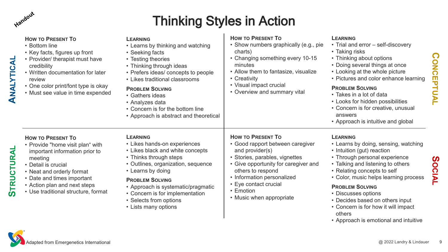Handout

**ANALYTICAL** 

ANALYTICAL

**STRUCTURAL**

**STRUCTURAL** 

## Thinking Styles in Action

| <b>HOW TO PRESENT TO</b><br>• Bottom line<br>• Key facts, figures up front<br>Provider/ therapist must have<br>credibility<br>Written documentation for later<br>review<br>One color print/font type is okay<br>• Must see value in time expended        | <b>LEARNING</b><br>• Learns by thinking and watching<br>• Seeking facts<br>• Testing theories<br>• Thinking through ideas<br>• Prefers ideas/ concepts to people<br>• Likes traditional classrooms<br><b>PROBLEM SOLVING</b><br>• Gathers ideas<br>• Analyzes data<br>• Concern is for the bottom line<br>• Approach is abstract and theoretical | <b>HOW TO PRESENT TO</b><br>• Show numbers graphically (e.g., pie<br>charts)<br>Changing something every 10-15<br>minutes<br>• Allow them to fantasize, visualize<br>• Creativity<br>• Visual impact crucial<br>• Overview and summary vital                                   | <b>LEARNING</b><br>• Trial and error - self-discovery<br>• Taking risks<br>• Thinking about options<br>• Doing several things at once<br>• Looking at the whole picture<br>• Pictures and color enhance learning<br><b>PROBLEM SOLVING</b><br>• Takes in a lot of data<br>• Looks for hidden possibilities<br>• Concern is for creative, unusual<br>answers<br>• Approach is intuitive and global                 |
|----------------------------------------------------------------------------------------------------------------------------------------------------------------------------------------------------------------------------------------------------------|--------------------------------------------------------------------------------------------------------------------------------------------------------------------------------------------------------------------------------------------------------------------------------------------------------------------------------------------------|--------------------------------------------------------------------------------------------------------------------------------------------------------------------------------------------------------------------------------------------------------------------------------|-------------------------------------------------------------------------------------------------------------------------------------------------------------------------------------------------------------------------------------------------------------------------------------------------------------------------------------------------------------------------------------------------------------------|
| <b>HOW TO PRESENT TO</b><br>• Provide "home visit plan" with<br>important information prior to<br>meeting<br>Detail is crucial<br>Neat and orderly format<br>Date and times important<br>Action plan and next steps<br>Use traditional structure, format | <b>LEARNING</b><br>• Likes hands-on experiences<br>• Likes black and white concepts<br>• Thinks through steps<br>• Outlines, organization, sequence<br>• Learns by doing<br><b>PROBLEM SOLVING</b><br>• Approach is systematic/pragmatic<br>• Concern is for implementation<br>• Selects from options<br>• Lists many options                    | <b>HOW TO PRESENT TO</b><br>• Good rapport between caregiver<br>and provider(s)<br>• Stories, parables, vignettes<br>• Give opportunity for caregiver and<br>others to respond<br>• Information personalized<br>• Eye contact crucial<br>• Emotion<br>• Music when appropriate | <b>LEARNING</b><br>• Learns by doing, sensing, watching<br>• Intuition (gut) reaction<br>• Through personal experience<br>• Talking and listening to others<br>• Relating concepts to self<br>• Color, music helps learning process<br><b>PROBLEM SOLVING</b><br>• Discusses options<br>• Decides based on others input<br>• Concern is for how it will impact<br>others<br>• Approach is emotional and intuitive |

Adapted from Emergenetics International

**CONCEPTUAL**

CONCEPTUAL

**SOCIAL**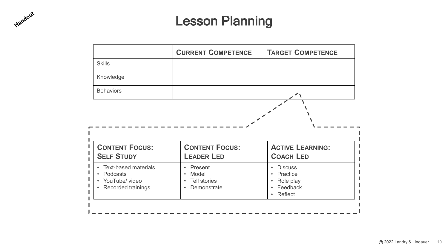### Lesson Planning

Handout

|                                            | <b>CURRENT COMPETENCE</b>                  | <b>TARGET COMPETENCE</b>                    |
|--------------------------------------------|--------------------------------------------|---------------------------------------------|
| <b>Skills</b>                              |                                            |                                             |
| Knowledge                                  |                                            |                                             |
| <b>Behaviors</b>                           |                                            | $\sim$                                      |
|                                            |                                            |                                             |
| <b>CONTENT FOCUS:</b><br><b>SELF STUDY</b> | <b>CONTENT FOCUS:</b><br><b>LEADER LED</b> | <b>ACTIVE LEARNING:</b><br><b>COACH LED</b> |